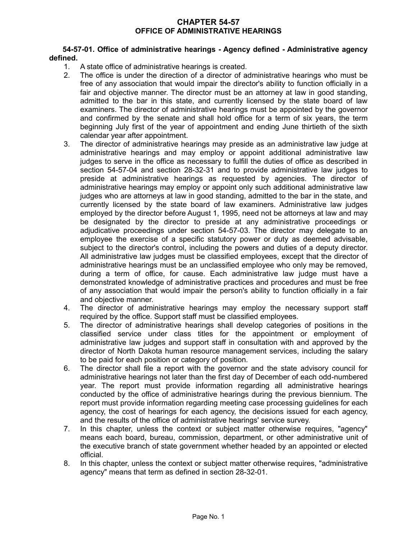## **CHAPTER 54-57 OFFICE OF ADMINISTRATIVE HEARINGS**

#### **54-57-01. Office of administrative hearings - Agency defined - Administrative agency defined.**

- 1. A state office of administrative hearings is created.
- 2. The office is under the direction of a director of administrative hearings who must be free of any association that would impair the director's ability to function officially in a fair and objective manner. The director must be an attorney at law in good standing, admitted to the bar in this state, and currently licensed by the state board of law examiners. The director of administrative hearings must be appointed by the governor and confirmed by the senate and shall hold office for a term of six years, the term beginning July first of the year of appointment and ending June thirtieth of the sixth calendar year after appointment.
- 3. The director of administrative hearings may preside as an administrative law judge at administrative hearings and may employ or appoint additional administrative law judges to serve in the office as necessary to fulfill the duties of office as described in section 54-57-04 and section 28-32-31 and to provide administrative law judges to preside at administrative hearings as requested by agencies. The director of administrative hearings may employ or appoint only such additional administrative law judges who are attorneys at law in good standing, admitted to the bar in the state, and currently licensed by the state board of law examiners. Administrative law judges employed by the director before August 1, 1995, need not be attorneys at law and may be designated by the director to preside at any administrative proceedings or adjudicative proceedings under section 54-57-03. The director may delegate to an employee the exercise of a specific statutory power or duty as deemed advisable, subject to the director's control, including the powers and duties of a deputy director. All administrative law judges must be classified employees, except that the director of administrative hearings must be an unclassified employee who only may be removed, during a term of office, for cause. Each administrative law judge must have a demonstrated knowledge of administrative practices and procedures and must be free of any association that would impair the person's ability to function officially in a fair and objective manner.
- 4. The director of administrative hearings may employ the necessary support staff required by the office. Support staff must be classified employees.
- 5. The director of administrative hearings shall develop categories of positions in the classified service under class titles for the appointment or employment of administrative law judges and support staff in consultation with and approved by the director of North Dakota human resource management services, including the salary to be paid for each position or category of position.
- 6. The director shall file a report with the governor and the state advisory council for administrative hearings not later than the first day of December of each odd-numbered year. The report must provide information regarding all administrative hearings conducted by the office of administrative hearings during the previous biennium. The report must provide information regarding meeting case processing guidelines for each agency, the cost of hearings for each agency, the decisions issued for each agency, and the results of the office of administrative hearings' service survey.
- 7. In this chapter, unless the context or subject matter otherwise requires, "agency" means each board, bureau, commission, department, or other administrative unit of the executive branch of state government whether headed by an appointed or elected official.
- 8. In this chapter, unless the context or subject matter otherwise requires, "administrative agency" means that term as defined in section 28-32-01.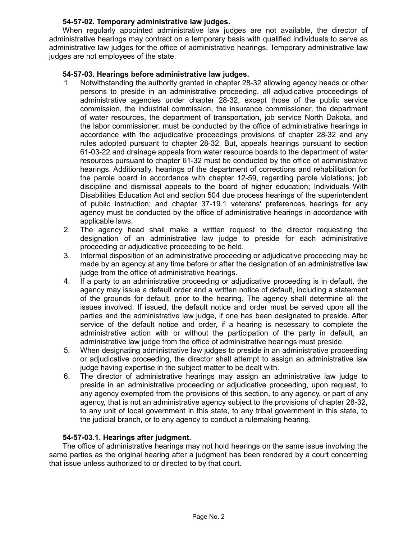# **54-57-02. Temporary administrative law judges.**

When regularly appointed administrative law judges are not available, the director of administrative hearings may contract on a temporary basis with qualified individuals to serve as administrative law judges for the office of administrative hearings. Temporary administrative law judges are not employees of the state.

# **54-57-03. Hearings before administrative law judges.**

- 1. Notwithstanding the authority granted in chapter 28-32 allowing agency heads or other persons to preside in an administrative proceeding, all adjudicative proceedings of administrative agencies under chapter 28-32, except those of the public service commission, the industrial commission, the insurance commissioner, the department of water resources, the department of transportation, job service North Dakota, and the labor commissioner, must be conducted by the office of administrative hearings in accordance with the adjudicative proceedings provisions of chapter 28-32 and any rules adopted pursuant to chapter 28-32. But, appeals hearings pursuant to section 61-03-22 and drainage appeals from water resource boards to the department of water resources pursuant to chapter 61-32 must be conducted by the office of administrative hearings. Additionally, hearings of the department of corrections and rehabilitation for the parole board in accordance with chapter 12-59, regarding parole violations; job discipline and dismissal appeals to the board of higher education; Individuals With Disabilities Education Act and section 504 due process hearings of the superintendent of public instruction; and chapter 37-19.1 veterans' preferences hearings for any agency must be conducted by the office of administrative hearings in accordance with applicable laws.
- 2. The agency head shall make a written request to the director requesting the designation of an administrative law judge to preside for each administrative proceeding or adjudicative proceeding to be held.
- 3. Informal disposition of an administrative proceeding or adjudicative proceeding may be made by an agency at any time before or after the designation of an administrative law judge from the office of administrative hearings.
- 4. If a party to an administrative proceeding or adjudicative proceeding is in default, the agency may issue a default order and a written notice of default, including a statement of the grounds for default, prior to the hearing. The agency shall determine all the issues involved. If issued, the default notice and order must be served upon all the parties and the administrative law judge, if one has been designated to preside. After service of the default notice and order, if a hearing is necessary to complete the administrative action with or without the participation of the party in default, an administrative law judge from the office of administrative hearings must preside.
- 5. When designating administrative law judges to preside in an administrative proceeding or adjudicative proceeding, the director shall attempt to assign an administrative law judge having expertise in the subject matter to be dealt with.
- 6. The director of administrative hearings may assign an administrative law judge to preside in an administrative proceeding or adjudicative proceeding, upon request, to any agency exempted from the provisions of this section, to any agency, or part of any agency, that is not an administrative agency subject to the provisions of chapter 28-32, to any unit of local government in this state, to any tribal government in this state, to the judicial branch, or to any agency to conduct a rulemaking hearing.

# **54-57-03.1. Hearings after judgment.**

The office of administrative hearings may not hold hearings on the same issue involving the same parties as the original hearing after a judgment has been rendered by a court concerning that issue unless authorized to or directed to by that court.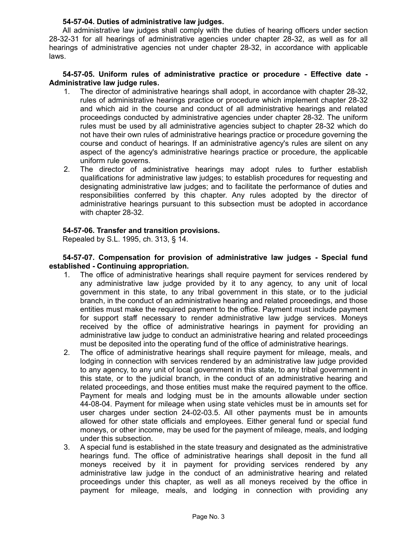## **54-57-04. Duties of administrative law judges.**

All administrative law judges shall comply with the duties of hearing officers under section 28-32-31 for all hearings of administrative agencies under chapter 28-32, as well as for all hearings of administrative agencies not under chapter 28-32, in accordance with applicable laws.

#### **54-57-05. Uniform rules of administrative practice or procedure - Effective date - Administrative law judge rules.**

- 1. The director of administrative hearings shall adopt, in accordance with chapter 28-32, rules of administrative hearings practice or procedure which implement chapter 28-32 and which aid in the course and conduct of all administrative hearings and related proceedings conducted by administrative agencies under chapter 28-32. The uniform rules must be used by all administrative agencies subject to chapter 28-32 which do not have their own rules of administrative hearings practice or procedure governing the course and conduct of hearings. If an administrative agency's rules are silent on any aspect of the agency's administrative hearings practice or procedure, the applicable uniform rule governs.
- 2. The director of administrative hearings may adopt rules to further establish qualifications for administrative law judges; to establish procedures for requesting and designating administrative law judges; and to facilitate the performance of duties and responsibilities conferred by this chapter. Any rules adopted by the director of administrative hearings pursuant to this subsection must be adopted in accordance with chapter 28-32.

# **54-57-06. Transfer and transition provisions.**

Repealed by S.L. 1995, ch. 313, § 14.

**54-57-07. Compensation for provision of administrative law judges - Special fund established - Continuing appropriation.**

- 1. The office of administrative hearings shall require payment for services rendered by any administrative law judge provided by it to any agency, to any unit of local government in this state, to any tribal government in this state, or to the judicial branch, in the conduct of an administrative hearing and related proceedings, and those entities must make the required payment to the office. Payment must include payment for support staff necessary to render administrative law judge services. Moneys received by the office of administrative hearings in payment for providing an administrative law judge to conduct an administrative hearing and related proceedings must be deposited into the operating fund of the office of administrative hearings.
- 2. The office of administrative hearings shall require payment for mileage, meals, and lodging in connection with services rendered by an administrative law judge provided to any agency, to any unit of local government in this state, to any tribal government in this state, or to the judicial branch, in the conduct of an administrative hearing and related proceedings, and those entities must make the required payment to the office. Payment for meals and lodging must be in the amounts allowable under section 44-08-04. Payment for mileage when using state vehicles must be in amounts set for user charges under section 24-02-03.5. All other payments must be in amounts allowed for other state officials and employees. Either general fund or special fund moneys, or other income, may be used for the payment of mileage, meals, and lodging under this subsection.
- 3. A special fund is established in the state treasury and designated as the administrative hearings fund. The office of administrative hearings shall deposit in the fund all moneys received by it in payment for providing services rendered by any administrative law judge in the conduct of an administrative hearing and related proceedings under this chapter, as well as all moneys received by the office in payment for mileage, meals, and lodging in connection with providing any